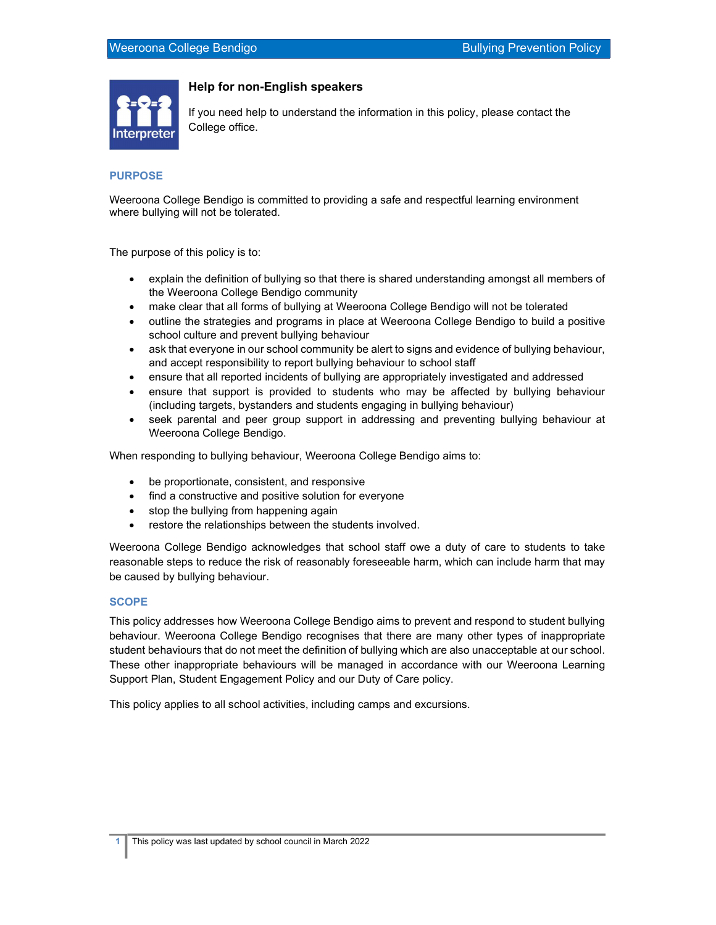

## Help for non-English speakers

If you need help to understand the information in this policy, please contact the College office.

## PURPOSE

Weeroona College Bendigo is committed to providing a safe and respectful learning environment where bullying will not be tolerated.

The purpose of this policy is to:

- explain the definition of bullying so that there is shared understanding amongst all members of the Weeroona College Bendigo community
- make clear that all forms of bullying at Weeroona College Bendigo will not be tolerated
- outline the strategies and programs in place at Weeroona College Bendigo to build a positive school culture and prevent bullying behaviour
- ask that everyone in our school community be alert to signs and evidence of bullying behaviour, and accept responsibility to report bullying behaviour to school staff
- ensure that all reported incidents of bullying are appropriately investigated and addressed
- ensure that support is provided to students who may be affected by bullying behaviour (including targets, bystanders and students engaging in bullying behaviour)
- seek parental and peer group support in addressing and preventing bullying behaviour at Weeroona College Bendigo.

When responding to bullying behaviour, Weeroona College Bendigo aims to:

- be proportionate, consistent, and responsive
- find a constructive and positive solution for everyone
- stop the bullying from happening again
- restore the relationships between the students involved.

Weeroona College Bendigo acknowledges that school staff owe a duty of care to students to take reasonable steps to reduce the risk of reasonably foreseeable harm, which can include harm that may be caused by bullying behaviour.

### **SCOPE**

This policy addresses how Weeroona College Bendigo aims to prevent and respond to student bullying behaviour. Weeroona College Bendigo recognises that there are many other types of inappropriate student behaviours that do not meet the definition of bullying which are also unacceptable at our school. These other inappropriate behaviours will be managed in accordance with our Weeroona Learning Support Plan, Student Engagement Policy and our Duty of Care policy.

This policy applies to all school activities, including camps and excursions.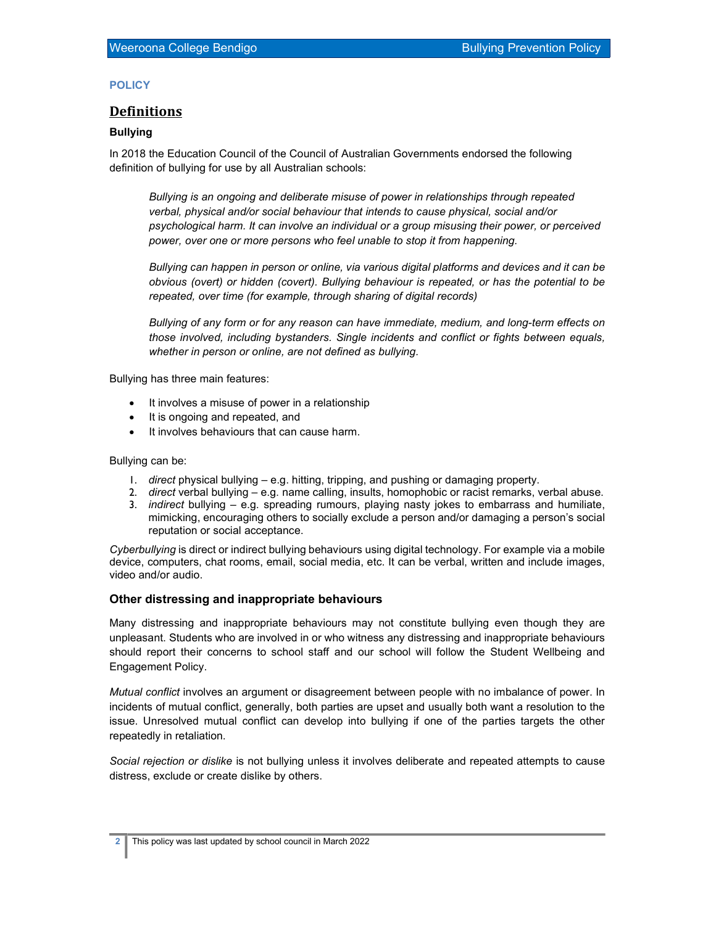### **POLICY**

## **Definitions**

## Bullying

In 2018 the Education Council of the Council of Australian Governments endorsed the following definition of bullying for use by all Australian schools:

Bullying is an ongoing and deliberate misuse of power in relationships through repeated verbal, physical and/or social behaviour that intends to cause physical, social and/or psychological harm. It can involve an individual or a group misusing their power, or perceived power, over one or more persons who feel unable to stop it from happening.

Bullying can happen in person or online, via various digital platforms and devices and it can be obvious (overt) or hidden (covert). Bullying behaviour is repeated, or has the potential to be repeated, over time (for example, through sharing of digital records)

Bullying of any form or for any reason can have immediate, medium, and long-term effects on those involved, including bystanders. Single incidents and conflict or fights between equals, whether in person or online, are not defined as bullying.

Bullying has three main features:

- It involves a misuse of power in a relationship
- It is ongoing and repeated, and
- It involves behaviours that can cause harm.

Bullying can be:

- 1. direct physical bullying e.g. hitting, tripping, and pushing or damaging property.
- 2. direct verbal bullying e.g. name calling, insults, homophobic or racist remarks, verbal abuse.
- 3. *indirect* bullying  $-$  e.g. spreading rumours, playing nasty jokes to embarrass and humiliate, mimicking, encouraging others to socially exclude a person and/or damaging a person's social reputation or social acceptance.

Cyberbullying is direct or indirect bullying behaviours using digital technology. For example via a mobile device, computers, chat rooms, email, social media, etc. It can be verbal, written and include images, video and/or audio.

### Other distressing and inappropriate behaviours

Many distressing and inappropriate behaviours may not constitute bullying even though they are unpleasant. Students who are involved in or who witness any distressing and inappropriate behaviours should report their concerns to school staff and our school will follow the Student Wellbeing and Engagement Policy.

Mutual conflict involves an argument or disagreement between people with no imbalance of power. In incidents of mutual conflict, generally, both parties are upset and usually both want a resolution to the issue. Unresolved mutual conflict can develop into bullying if one of the parties targets the other repeatedly in retaliation.

Social rejection or dislike is not bullying unless it involves deliberate and repeated attempts to cause distress, exclude or create dislike by others.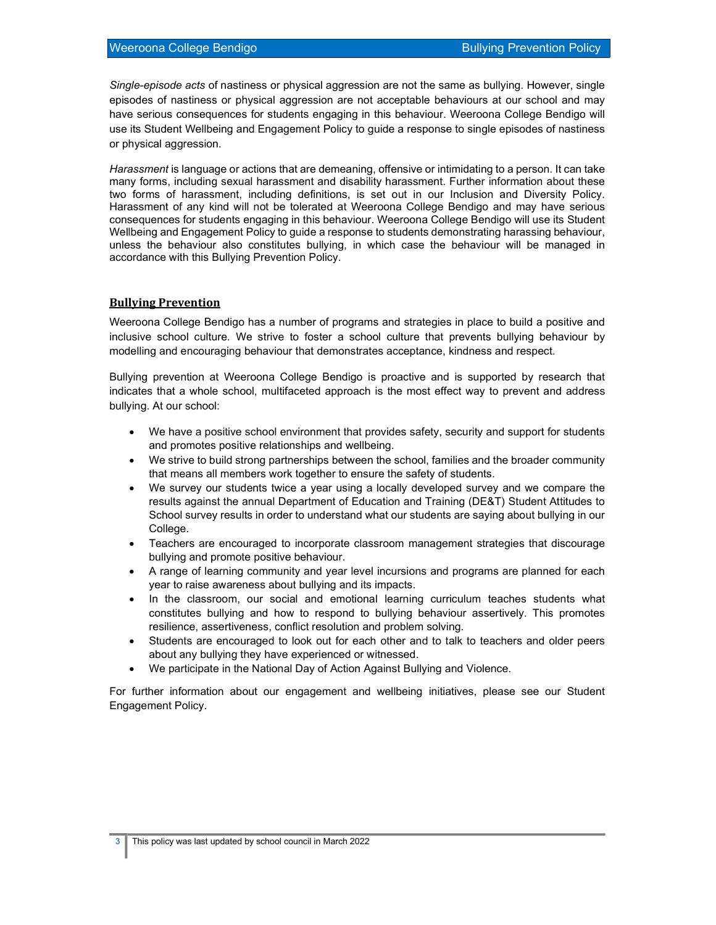Single-episode acts of nastiness or physical aggression are not the same as bullying. However, single episodes of nastiness or physical aggression are not acceptable behaviours at our school and may have serious consequences for students engaging in this behaviour. Weeroona College Bendigo will use its Student Wellbeing and Engagement Policy to guide a response to single episodes of nastiness or physical aggression.

Harassment is language or actions that are demeaning, offensive or intimidating to a person. It can take many forms, including sexual harassment and disability harassment. Further information about these two forms of harassment, including definitions, is set out in our Inclusion and Diversity Policy. Harassment of any kind will not be tolerated at Weeroona College Bendigo and may have serious consequences for students engaging in this behaviour. Weeroona College Bendigo will use its Student Wellbeing and Engagement Policy to guide a response to students demonstrating harassing behaviour, unless the behaviour also constitutes bullying, in which case the behaviour will be managed in accordance with this Bullying Prevention Policy.

## Bullying Prevention

Weeroona College Bendigo has a number of programs and strategies in place to build a positive and inclusive school culture. We strive to foster a school culture that prevents bullying behaviour by modelling and encouraging behaviour that demonstrates acceptance, kindness and respect.

Bullying prevention at Weeroona College Bendigo is proactive and is supported by research that indicates that a whole school, multifaceted approach is the most effect way to prevent and address bullying. At our school:

- We have a positive school environment that provides safety, security and support for students and promotes positive relationships and wellbeing.
- We strive to build strong partnerships between the school, families and the broader community that means all members work together to ensure the safety of students.
- We survey our students twice a year using a locally developed survey and we compare the results against the annual Department of Education and Training (DE&T) Student Attitudes to School survey results in order to understand what our students are saying about bullying in our College.
- Teachers are encouraged to incorporate classroom management strategies that discourage bullying and promote positive behaviour.
- A range of learning community and year level incursions and programs are planned for each year to raise awareness about bullying and its impacts.
- In the classroom, our social and emotional learning curriculum teaches students what constitutes bullying and how to respond to bullying behaviour assertively. This promotes resilience, assertiveness, conflict resolution and problem solving.
- Students are encouraged to look out for each other and to talk to teachers and older peers about any bullying they have experienced or witnessed.
- We participate in the National Day of Action Against Bullying and Violence.

For further information about our engagement and wellbeing initiatives, please see our Student Engagement Policy.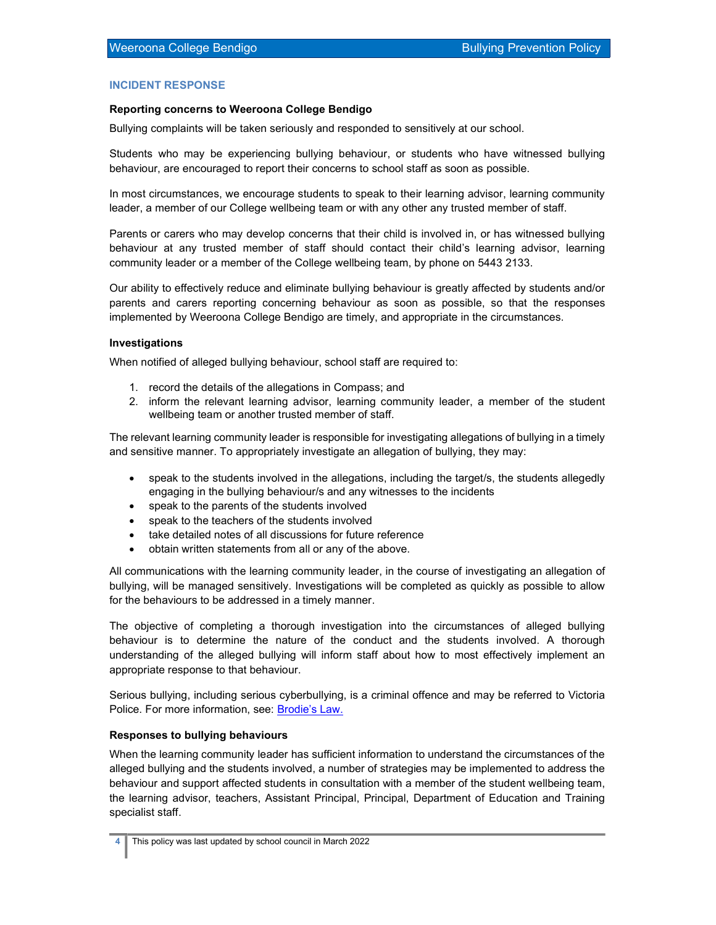## INCIDENT RESPONSE

### Reporting concerns to Weeroona College Bendigo

Bullying complaints will be taken seriously and responded to sensitively at our school.

Students who may be experiencing bullying behaviour, or students who have witnessed bullying behaviour, are encouraged to report their concerns to school staff as soon as possible.

In most circumstances, we encourage students to speak to their learning advisor, learning community leader, a member of our College wellbeing team or with any other any trusted member of staff.

Parents or carers who may develop concerns that their child is involved in, or has witnessed bullying behaviour at any trusted member of staff should contact their child's learning advisor, learning community leader or a member of the College wellbeing team, by phone on 5443 2133.

Our ability to effectively reduce and eliminate bullying behaviour is greatly affected by students and/or parents and carers reporting concerning behaviour as soon as possible, so that the responses implemented by Weeroona College Bendigo are timely, and appropriate in the circumstances.

### Investigations

When notified of alleged bullying behaviour, school staff are required to:

- 1. record the details of the allegations in Compass; and
- 2. inform the relevant learning advisor, learning community leader, a member of the student wellbeing team or another trusted member of staff.

The relevant learning community leader is responsible for investigating allegations of bullying in a timely and sensitive manner. To appropriately investigate an allegation of bullying, they may:

- speak to the students involved in the allegations, including the target/s, the students allegedly engaging in the bullying behaviour/s and any witnesses to the incidents
- speak to the parents of the students involved
- speak to the teachers of the students involved
- take detailed notes of all discussions for future reference
- obtain written statements from all or any of the above.

All communications with the learning community leader, in the course of investigating an allegation of bullying, will be managed sensitively. Investigations will be completed as quickly as possible to allow for the behaviours to be addressed in a timely manner.

The objective of completing a thorough investigation into the circumstances of alleged bullying behaviour is to determine the nature of the conduct and the students involved. A thorough understanding of the alleged bullying will inform staff about how to most effectively implement an appropriate response to that behaviour.

Serious bullying, including serious cyberbullying, is a criminal offence and may be referred to Victoria Police. For more information, see: Brodie's Law.

### Responses to bullying behaviours

When the learning community leader has sufficient information to understand the circumstances of the alleged bullying and the students involved, a number of strategies may be implemented to address the behaviour and support affected students in consultation with a member of the student wellbeing team, the learning advisor, teachers, Assistant Principal, Principal, Department of Education and Training specialist staff.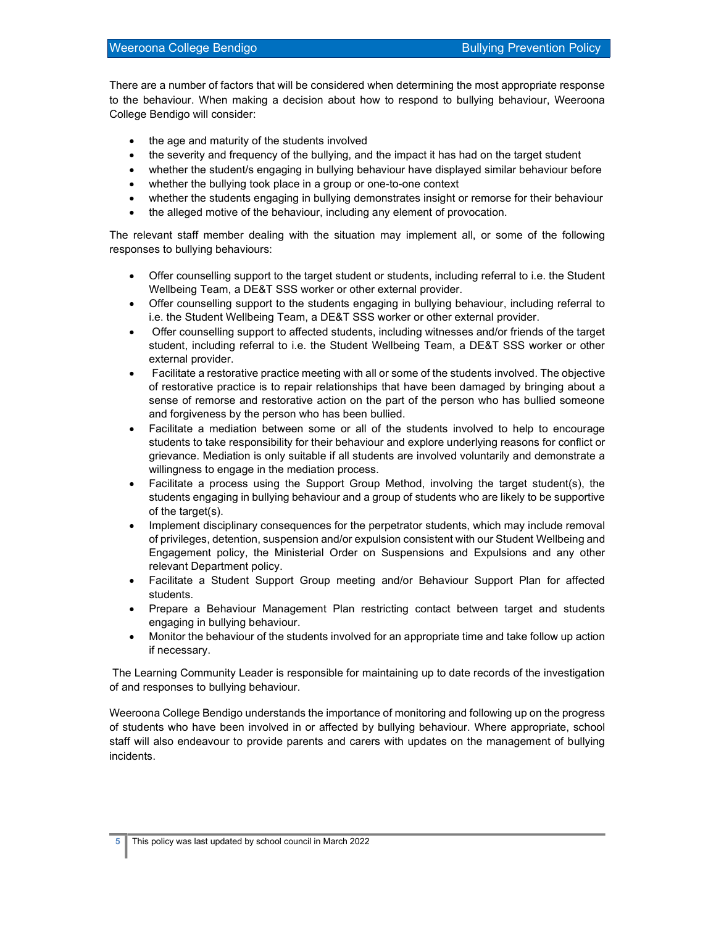There are a number of factors that will be considered when determining the most appropriate response to the behaviour. When making a decision about how to respond to bullying behaviour, Weeroona College Bendigo will consider:

- the age and maturity of the students involved
- the severity and frequency of the bullying, and the impact it has had on the target student
- whether the student/s engaging in bullying behaviour have displayed similar behaviour before
- whether the bullying took place in a group or one-to-one context
- whether the students engaging in bullying demonstrates insight or remorse for their behaviour
- the alleged motive of the behaviour, including any element of provocation.

The relevant staff member dealing with the situation may implement all, or some of the following responses to bullying behaviours:

- Offer counselling support to the target student or students, including referral to i.e. the Student Wellbeing Team, a DE&T SSS worker or other external provider.
- Offer counselling support to the students engaging in bullying behaviour, including referral to i.e. the Student Wellbeing Team, a DE&T SSS worker or other external provider.
- Offer counselling support to affected students, including witnesses and/or friends of the target student, including referral to i.e. the Student Wellbeing Team, a DE&T SSS worker or other external provider.
- Facilitate a restorative practice meeting with all or some of the students involved. The objective of restorative practice is to repair relationships that have been damaged by bringing about a sense of remorse and restorative action on the part of the person who has bullied someone and forgiveness by the person who has been bullied.
- Facilitate a mediation between some or all of the students involved to help to encourage students to take responsibility for their behaviour and explore underlying reasons for conflict or grievance. Mediation is only suitable if all students are involved voluntarily and demonstrate a willingness to engage in the mediation process.
- Facilitate a process using the Support Group Method, involving the target student(s), the students engaging in bullying behaviour and a group of students who are likely to be supportive of the target(s).
- Implement disciplinary consequences for the perpetrator students, which may include removal of privileges, detention, suspension and/or expulsion consistent with our Student Wellbeing and Engagement policy, the Ministerial Order on Suspensions and Expulsions and any other relevant Department policy.
- Facilitate a Student Support Group meeting and/or Behaviour Support Plan for affected students.
- Prepare a Behaviour Management Plan restricting contact between target and students engaging in bullying behaviour.
- Monitor the behaviour of the students involved for an appropriate time and take follow up action if necessary.

 The Learning Community Leader is responsible for maintaining up to date records of the investigation of and responses to bullying behaviour.

Weeroona College Bendigo understands the importance of monitoring and following up on the progress of students who have been involved in or affected by bullying behaviour. Where appropriate, school staff will also endeavour to provide parents and carers with updates on the management of bullying incidents.